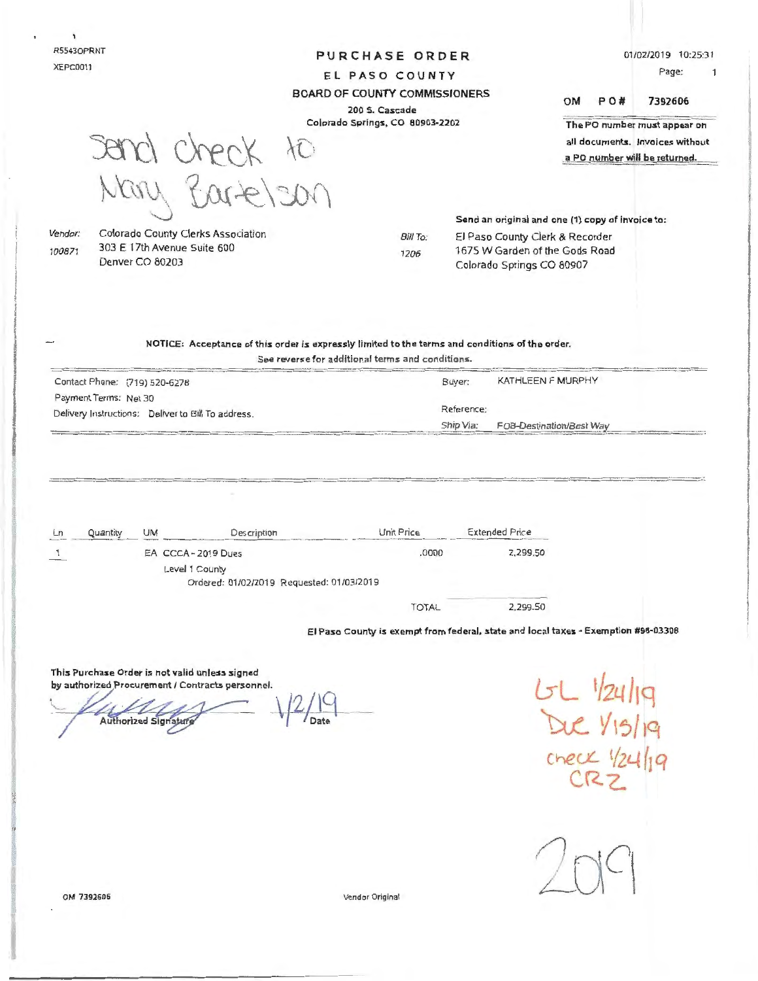R55430PRNT XEPC0011

### **PURCHASE ORDER**

0110212019 10:25:31

PO# 7392606

The PO number must appear on all documents. Invoices without

Page:  $\overline{1}$ 

EL PASO COUNTY BOARD OF COUNTY COMMISSIONERS

# 200 S. Cascade

Colorado Springs, CO 80903-2202

 $3800$  check to  $\mu$ ary Bartelen

a PO number will be returned.

OM

Send an original and one (1) copy of invoice to:

Vendor: 100871

Colorado County Clerks Association 303 E 17th Avenue Suite 600 Denver CO 80203

Bill To: 1206

El Paso County Clerk & Recorder 1675 W Garden of the Gods Road Colorado Springs CO 80907

# NOTICE: Acceptance of this order is expressly limited to the terms and conditions of the order.

See reverse for additional terms and conditions.

| Contact Phone: (719) 520-6278                      | KATHLEEN F MURPHY<br>Buyer:           |
|----------------------------------------------------|---------------------------------------|
| Payment Terms: Net 30                              |                                       |
| Delivery Instructions: Deliver to Bill To address. | Reference:                            |
|                                                    | Ship Via:<br>FOB-Destination/Best Way |

| Ln | Quantity | UM | Description                                                 | Unit Price | <b>Extended Price</b> |
|----|----------|----|-------------------------------------------------------------|------------|-----------------------|
|    |          |    | EA CCCA-2019 Dues                                           | .0000      | 2,299.50              |
|    |          |    | Level 1 County<br>Ordered: 01/02/2019 Requested: 01/03/2019 |            |                       |
|    |          |    |                                                             | TOTAL      | 2.299.50              |

El Paso County is exempt from federal, state and local taxes - Exemption #98-03308

This Purchase Order is not valid unless signed by authorized Procurement / Contracts personnel.

Authorized Signatury

**G-L t/zLl /1g**  Due 1/15/19 Chec.L *t/zt-t (1 q*  **C.Rz.** 



OM 7392606

Vendor Original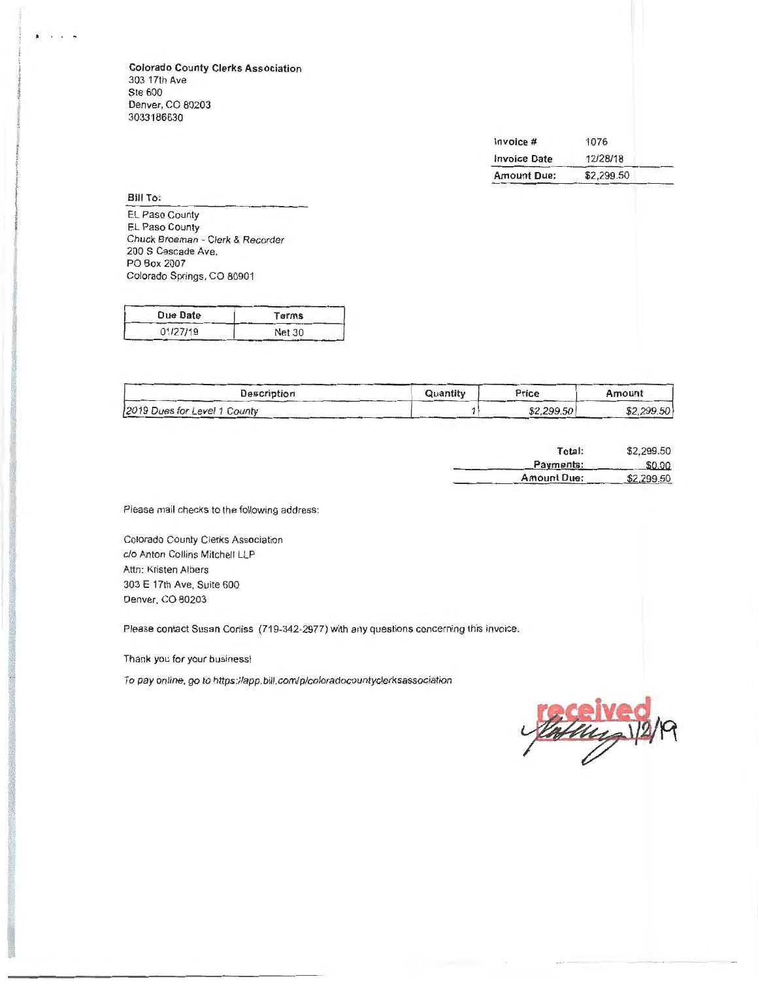**Colorado County Clerks Association**  303 17th Ave Ste 600 Denver, CO 80203 3033186630

| Invoice #           | 1076       |  |
|---------------------|------------|--|
| <b>Invoice Date</b> | 12/28/18   |  |
| <b>Amount Due:</b>  | \$2,299.50 |  |

**Bill To:** 

. . . ...

EL Paso County EL Paso County Chuck Broeman - Clerk & Recorder 200 S Cascade Ave. PO Box 2007 Colorado Springs, CO 80901

| Due Date | Terms         |
|----------|---------------|
| 01/27/19 | <b>Net 30</b> |

| Description                  | Quantity | Price      | Amount     |
|------------------------------|----------|------------|------------|
| 2019 Dues for Level 1 County |          | \$2,299.50 | \$2,299.50 |

| Total:             | \$2,299.50 |
|--------------------|------------|
| Payments:          | \$0.00     |
| <b>Amount Due:</b> | \$2,299.50 |

Please mail checks to the following address:

Colorado County Clerks Association clo Anton Collins Mitchell LLP Attn: Kristen Albers 303 E 17th Ave, Suite 600 Denver. CO 80203

Please contact Susan Corliss (719-342-2977) with any questions concerning this invoice.

Thank you for your business!

To pay online, go to https://app.bill.com/p/coloradocountyclerksassociation

ung \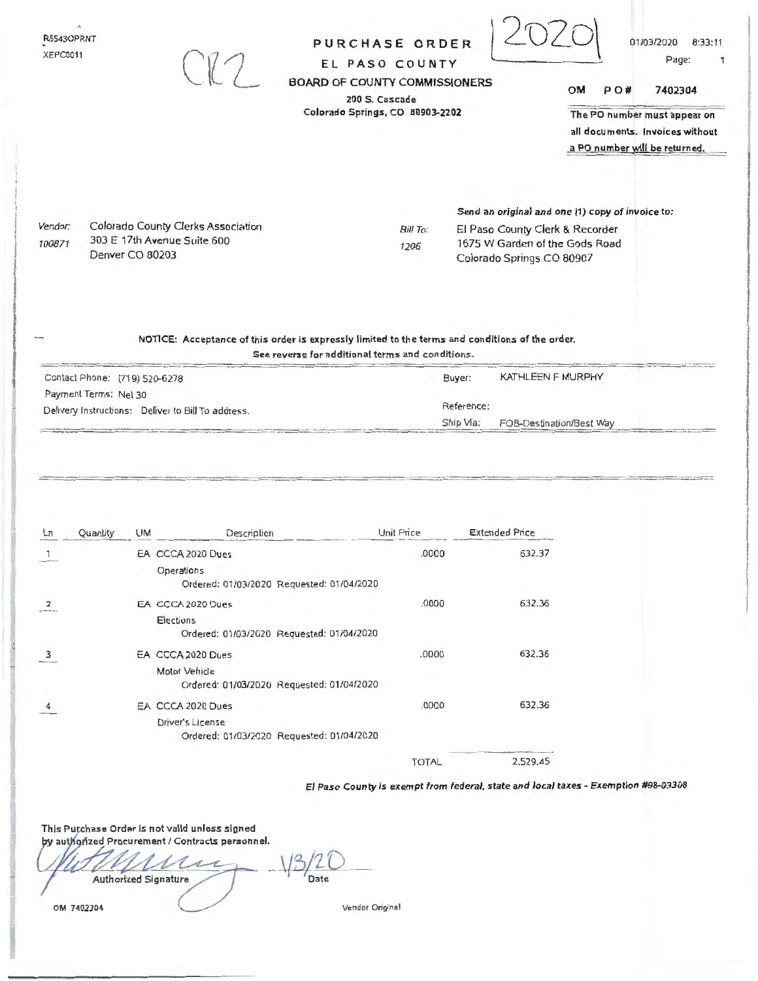|                                    |                               |           | 177                                                                                             | <b>BOARD OF COUNTY COMMISSIONERS</b><br>Colorado Springs, CO 80903-2202 | 200 S. Cascade               |                         |                                                                                                                                                    | ОM | PO# | 7402304<br>The PO number must appear on<br>all documents. Invoices without<br>a PO number will be returned. |
|------------------------------------|-------------------------------|-----------|-------------------------------------------------------------------------------------------------|-------------------------------------------------------------------------|------------------------------|-------------------------|----------------------------------------------------------------------------------------------------------------------------------------------------|----|-----|-------------------------------------------------------------------------------------------------------------|
| Vendor:<br>100871                  | Denver CO 80203               |           | Colorado County Clerks Association<br>303 E 17th Avenue Suite 600                               |                                                                         | Bill To:<br>1206             |                         | Send an original and one (1) copy of invoice to:<br>El Paso County Clerk & Recorder<br>1675 W Garden of the Gods Road<br>Colorado Springs CO 80907 |    |     |                                                                                                             |
|                                    | Contact Phone: (719) 520-6278 |           | NOTICE: Acceptance of this order is expressly limited to the terms and conditions of the order. | See reverse for additional terms and conditions.                        |                              | Buyer:                  | KATHLEEN F MURPHY                                                                                                                                  |    |     |                                                                                                             |
| Payment Terms: Net 30              |                               |           |                                                                                                 |                                                                         |                              |                         |                                                                                                                                                    |    |     |                                                                                                             |
|                                    |                               |           |                                                                                                 |                                                                         |                              |                         |                                                                                                                                                    |    |     |                                                                                                             |
|                                    |                               |           | Delivery Instructions: Deliver to Bill To address.                                              |                                                                         |                              | Reference:<br>Ship Via: | FOB-Destination/Best Way                                                                                                                           |    |     |                                                                                                             |
|                                    | Quantity                      | <b>UM</b> | Description<br>EA CCCA 2020 Dues<br>Operations<br>EA CCCA 2020 Dues                             | Ordered: 01/03/2020 Requested: 01/04/2020                               | Unit Price<br>.0000<br>.0000 |                         | <b>Extended Price</b><br>632.37<br>632.36                                                                                                          |    |     |                                                                                                             |
|                                    |                               |           | Elections                                                                                       | Ordered: 01/03/2020 Requested: 01/04/2020                               |                              |                         |                                                                                                                                                    |    |     |                                                                                                             |
|                                    |                               |           | EA CCCA 2020 Dues<br>Motor Vehicle                                                              | Ordered: 01/03/2020 Requested: 01/04/2020                               | .0000                        |                         | 632.36                                                                                                                                             |    |     |                                                                                                             |
| Lл<br>2<br>$\overline{\mathbf{3}}$ |                               |           | EA CCCA 2020 Dues<br>Driver's License                                                           | Ordered: 01/03/2020 Requested: 01/04/2020                               | .0000                        |                         | 632.36                                                                                                                                             |    |     |                                                                                                             |

El Paso County is exempt from federal, state and local taxes - Exemption #98-03308

 $\frac{13}{20}$  $\mathcal{U}$ ∠ Authorized Signature

QM. 7402304

Vendor Original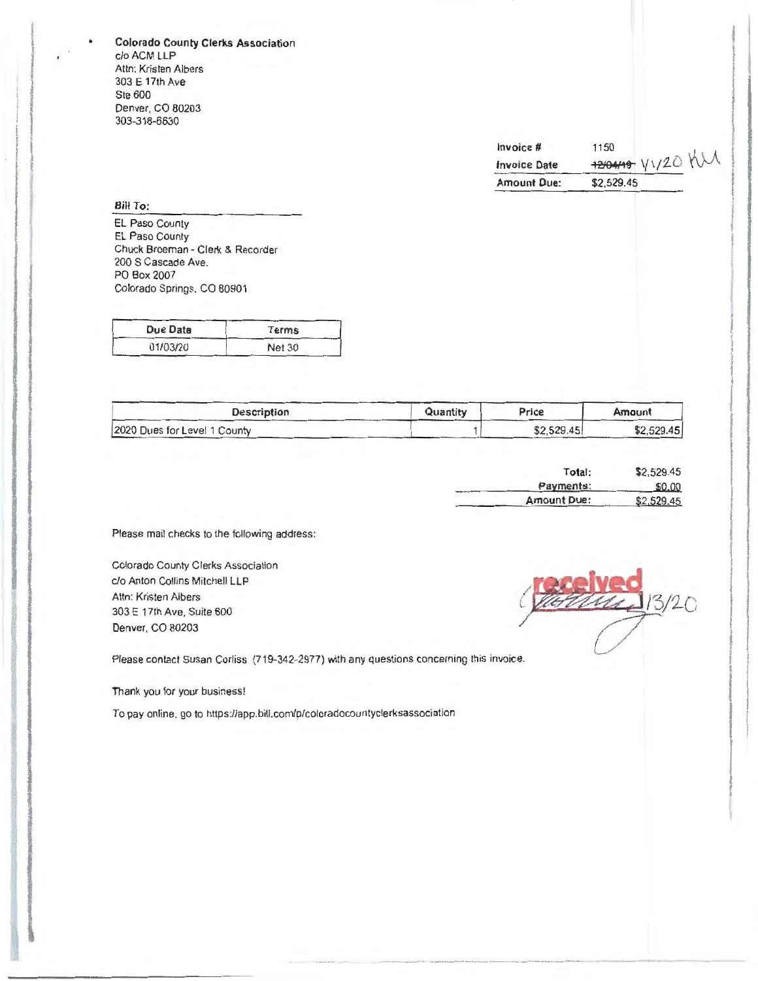Colorado County Clerks Association c/oACM LLP Attn: Kristen Albers 303 E 17th Ave Ste 600 Denver, CO 80203 303-318-6630

| Invoice #           | 1150            |
|---------------------|-----------------|
| <b>Invoice Date</b> | 120419 11/20 MM |
| <b>Amount Due:</b>  | \$2,529.45      |

Bill To:

EL Paso County EL Paso County Chuck Broeman - Clerk & Recorder 200 S Cascade Ave. PO Box 2007 Colorado Springs, CO 80901

| Due Date | Terms         |
|----------|---------------|
| 01/03/20 | <b>Net 30</b> |

| <b>Description</b>           | Quantity | Price      | Amount     |
|------------------------------|----------|------------|------------|
| 2020 Dues for Level 1 County |          | \$2,529.45 | \$2,529.45 |

| Total:      | \$2,529.45 |
|-------------|------------|
| Payments:   | \$0.00     |
| Amount Due: | \$2,529.45 |

Please mail checks to the following address:

Colorado County Clerks Association c/o Anton Collins Mitchell LLP Attn: Kristen Albers 303 E 17th Ave, Suite 600 Denver, CO 80203

 $1/3/20$ 

Please contact Susan Corliss (719-342-2977) with any questions concerning this invoice.

Thank you for your business!

To pay online, go to https://app.bill.com/p/coloradocountyclerksassociation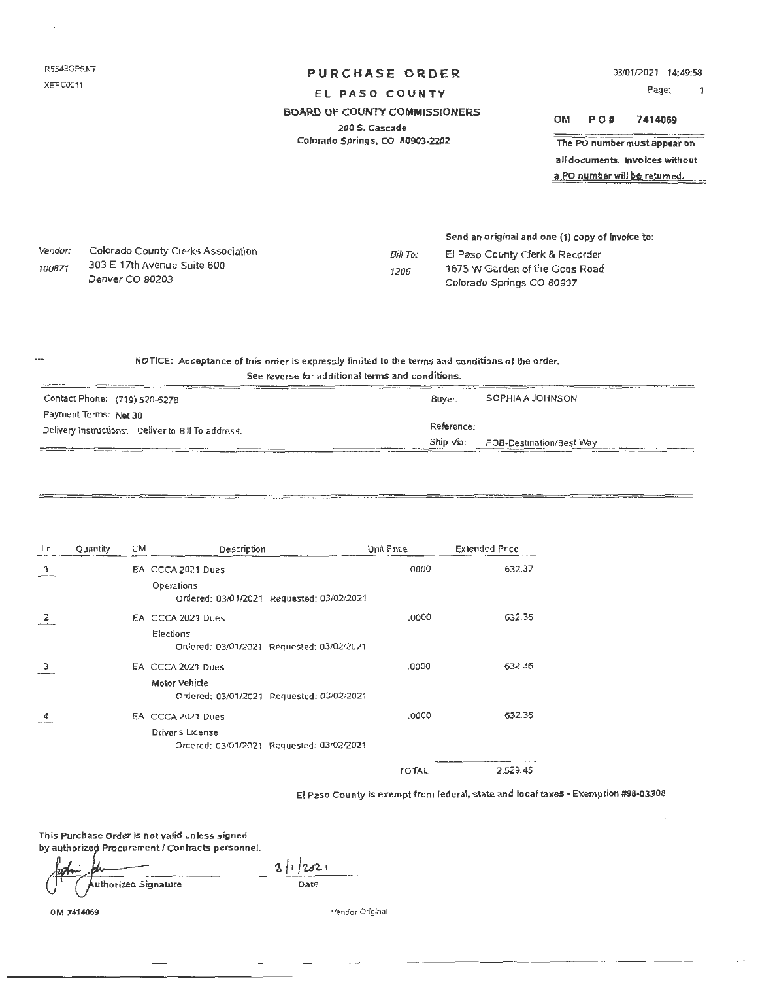RS5430PRNT XEPC0011

# PURCHASE ORDER

03/0112021 14:49:58

Page: 1

# EL PASO COUNTY

### BOARD OF COUNTY COMMISSIONERS

200 S. Cascade Colorado Springs, co 80903-2202 OM PO# 7414069

The PO number must appear on all documents. Invoices without

a PO number will be returned.

Vendor: 100871 Colorado County derks Association 303 E 17th Avenue Suite 600 Denver CO 80203

### Send an original and one (1) copy of invoice to:

Bill To: 1206 El Paso County Clerk & Recorder 1675 W Garden of the Gods Road Colorado Springs CO 80907

#### NOTICE: Acceptance of this order is expressly limited to the terms and conditions of the order. See reverse fur additional tenns and conditions.

|  |  |  | See reverse for aggitional terms and conditions. |  |
|--|--|--|--------------------------------------------------|--|
|  |  |  |                                                  |  |

| Contact Phone: (719) 520-6278                      | Buver. | SOPHIA A JOHNSON                   |  |  |
|----------------------------------------------------|--------|------------------------------------|--|--|
| Payment Terms: Net 30                              |        |                                    |  |  |
| Delivery Instructions: Deliver to Bill To address. |        | Reference:                         |  |  |
|                                                    |        | Ship Via: FOB-Destination/Best Way |  |  |

| Lп | Quantity | UM | Description                                             | Unit Price   | <b>Extended Price</b> |
|----|----------|----|---------------------------------------------------------|--------------|-----------------------|
|    |          |    | EA CCCA 2021 Dues                                       | .0000        | 632.37                |
|    |          |    | Operations<br>Ordered: 03/01/2021 Requested: 03/02/2021 |              |                       |
|    |          |    | EA CCCA 2021 Dues                                       | .0000        | 632.36                |
|    |          |    | Elections                                               |              |                       |
|    |          |    | Ordered: 03/01/2021 Requested: 03/02/2021               |              |                       |
| 3  |          |    | EA CCCA 2021 Dues                                       | ,0000        | 632.36                |
|    |          |    | Motor Vehicle                                           |              |                       |
|    |          |    | Ordered: 03/01/2021 Requested: 03/02/2021               |              |                       |
|    |          |    | EA CCCA 2021 Dues                                       | ,0000        | 632.36                |
|    |          |    | Driver's License                                        |              |                       |
|    |          |    | Ordered: 03/01/2021 Requested: 03/02/2021               |              |                       |
|    |          |    |                                                         | <b>TOTAL</b> | 2.529.45              |

El Paso County is exempt from federal, state and local taxes - Exemption #98-03308

This Purchase Order is not valid unless signed by authorized Procurement / Contracts personnel.

uthorized Signature

 $3112821$ Date

OM 7414069

Vendor Original